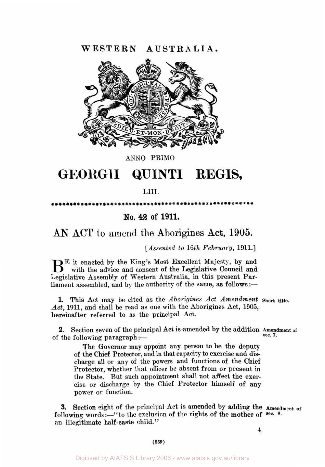**WESTERN AUSTRALIA.** 



**ANN0** PRIM0

# **GEORGlI QUINTI REGIS,**

### **LIII.**

\*\*\*\*\*\*\*\*\*\*\*\*\*\*\*\*\*\*\*\*\*\*\*\*\*

## **No. 42 of 1911.**

## **AN ACT** to amend the Aborigines **Act, 1905.**

*[Assented to 16th February,* **1911.]** 

**in** E it enacted by the King's Most Excellent Majesty, by and with the advice and consent of the Legislative Council and Legislative Assembly of Western Australia, in this present Parliament assembled, and by the authority of the same, as follows :-

**1.** This Act may **be** cited as the *Aborigines Act Amendment* **Short title.**  *Act,* **1911,** and shall be read as one with the Aborigines Act, **1905,**  hereinafter referred **to** as the principal Act.

2. Section seven of the principal Act is amended by the addition **Amendment of** sec. 7. of the following paragraph :-

The Governor may appoint any person to be the deputy of the Chief Protector, and in that capacity to exercise and **dis**charge all or any of the powers and functions of the Chief Protector, whether that officer be absent from or present in the State. But such appointment shall not affect the exercise or discharge by the Chief Protector himself of any power or function.

3. Section eight of the principal Act is amended **by** adding the Amendment **of**  following words :- "to the exclusion of the rights of the mother of sec. 8. an illegitimate half-caste child."

**4.**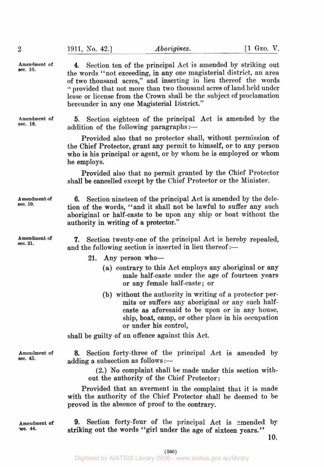| Amendment of<br>sec. 10.  | Section ten of the principal Act is amended by striking out<br>4.<br>the words "not exceeding, in any one magisterial district, an area<br>of two thousand acres," and inserting in lieu thereof the words<br>" provided that not more than two thousand acres of land held under<br>lease or license from the Crown shall be the subject of proclamation<br>hereunder in any one Magisterial District." |
|---------------------------|----------------------------------------------------------------------------------------------------------------------------------------------------------------------------------------------------------------------------------------------------------------------------------------------------------------------------------------------------------------------------------------------------------|
| Amendment of<br>sec. 18.  | 5. Section eighteen of the principal Act is amended by the<br>addition of the following paragraphs:-                                                                                                                                                                                                                                                                                                     |
|                           | Provided also that no protector shall, without permission of<br>the Chief Protector, grant any permit to himself, or to any person<br>who is his principal or agent, or by whom he is employed or whom<br>he employs.                                                                                                                                                                                    |
|                           | Provided also that no permit granted by the Chief Protector<br>shall be cancelled except by the Chief Protector or the Minister.                                                                                                                                                                                                                                                                         |
| A mendment of<br>sec. 19. | <b>6.</b> Section nineteen of the principal Act is amended by the dele-<br>tion of the words, "and it shall not be lawful to suffer any such<br>aboriginal or half-caste to be upon any ship or boat without the<br>authority in writing of a protector."                                                                                                                                                |
| Amendment of<br>sec. 21.  | 7. Section twenty-one of the principal Act is hereby repealed,<br>and the following section is inserted in lieu thereof :-                                                                                                                                                                                                                                                                               |
|                           | 21.<br>Any person who-                                                                                                                                                                                                                                                                                                                                                                                   |
|                           | (a) contrary to this Act employs any aboriginal or any<br>male half-caste under the age of fourteen years<br>or any female half-caste; or                                                                                                                                                                                                                                                                |
|                           | (b) without the authority in writing of a protector per-<br>mits or suffers any aboriginal or any such half-<br>caste as aforesaid to be upon or in any house,<br>ship, boat, camp, or other place in his occupation<br>or under his control,                                                                                                                                                            |
|                           | shall be guilty of an offence against this Act.                                                                                                                                                                                                                                                                                                                                                          |
| Amendment of<br>sec. 43.  | 8. Section forty-three of the principal Act is amended by<br>adding a subsection as follows:-                                                                                                                                                                                                                                                                                                            |
|                           | (2.) No complaint shall be made under this section with-<br>out the authority of the Chief Protector:                                                                                                                                                                                                                                                                                                    |

Provided that an averment in the complaint that it is made with the authority of the Chief Protector shall be deemed to be proved in the absence of proof to the contrary.

**Amendment of**  *sec.* **44.** 

9. Section forty-four of the principal Act is amended **by**  striking out the words "girl under the age of sixteen years."

**10.**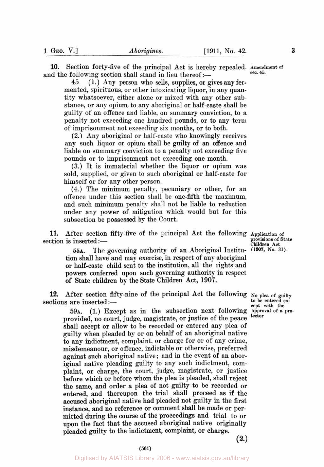10. Section forty-five of the principal Act is hereby repealed. Amendment of and the following section shall stand in lieu thereof :-

**45.** ( **l** .) Any person who sells, supplies, or gives any fer- mented, spirituous, or other intoxicating liquor, in any quantity whatsoever, either alone or mixed with any other substance, or any opium, to any aboriginal or half-caste shall be guilty of an offence and liable, on summary conviction, to **a**  penalty not exceeding one hundred pounds, or to any term of imprisonment not exceeding six months, or to both.

**(2.)** Any aboriginal or half-caste who knowingly receives any such liquor or opium shall be guilty of an offence and liable on summary conviction to a penalty not exceeding five pounds or to imprisonment not exceeding one month.

**(3.)** It is immaterial whether the liquor or opium was sold, supplied, or given to such aboriginal or half-caste for himself or for any other person.

**(4.)** The minimum penalty, pecuniary or other, for an offence under this section shall be one-fifth the maximum, and such minimum penalty shall not be liable to reduction under any power of mitigation which would but for this subsection be possessed **by** the Court.

**11.** After section fifty-five of the principal Act the following Application of section is inserted :- <br> **Children** Act **Children** Act **Children** Act **Children** Act **Children** Act **Children** Act **Children** 

**~SA.** The governing authority of an Aboriginal Institu- **(1907, No. 31).**  tion shall have and may exercise, in respect **of** any aboriginal **or** half-caste child sent to the institution, all the rights and powers conferred upon such governing authority in respect of **State** children by the **State** Children Act, **1907.** 

**12.** After section fifty-nine of the principal Act the following **No of** guilty sections are inserted :-

*59A.* (1.) Except as in the subsection next following **approval of a pro**provided, no court, judge, magistrate, or justice of the peace shall accept or allow to be recorded **or** entered any plea of guilty when pleaded by or on behalf of an aboriginal native to any indictment, complaint, or charge for or of any crime, misdemeanour, or offence, indictable or otherwise, preferred against such aboriginal native; and in the event of **an** aboriginal native pleading guilty to any such indictment, complaint, or charge, the court, judge, magistrate, or justice before which or before whom the plea is pleaded, shall reject the same, and order a plea of not guilty to be recorded or entered, and thereupon the trial shall proceed as if the accused aboriginal native had pleaded not guilty **in** the first instance, and no reference **or** comment shall be made or permitted during the course of the proceedings and trial to **or upon** the fact that the accused aboriginal native originally pleaded guilty to the indictment, complaint, **or** charge.  $(2.)$ 

**provisions of State** 

**to be entered except with the tector**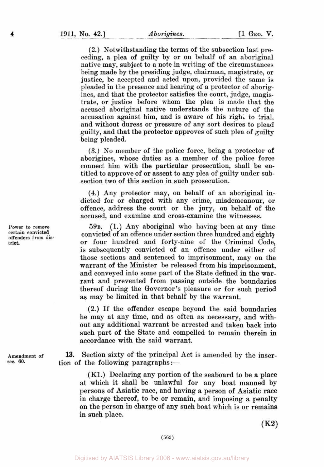**(2.)** Notwithstanding the terms of the subsection last preceding, a plea of guilty by **or** on behalf of an aboriginal native may, subject to a note in writing of the circumstances being made by the presiding judge, chairman, magistrate, or justice, be accepted and acted upon, provided the same is pleaded in the presence and hearing of a protector of aborigines, and that the protector satisfies the court, judge, magistrate, **or** justice before whom the plea is made that the accused aboriginal native understands the nature of the accusation against him, and is aware of his right to trial. and without duress **or** pressure of any sort desires to plead guilty, and that the protector approves of such plea of guilty being pleaded.

**(3.)** No member of the police force, being a protector of aborigines, whose duties as a member of the police force connect him with the particular prosecution, shall be entitled to approve **of or** assent to any plea of guilty under subsection two of this section in such prosecution.

**(4.)** Any protector may, **on** behalf **of** an aboriginal indicted for **or** charged with any crime, misdemeanour, or offence, address the court **or** the jury, on behalf of the accused, and examine and cross-examine the witnesses.

**(1.) Any** aboriginal who having been at any time convicted of **an** offence under section three hundred and eighty or four hundred and forty-nine of the Criminal Code, is subsequently convicted of an offence under either **of**  those sections and sentenced to imprisonment, may on the warrant of the Minister be released from his imprisonment, and conveyed into some part of the State defined in the warrant and prevented from passing outside the boundaries thereof during the Governor's pleasure or **for** such period as may be limited in that behalf by the warrant. 59<sub>B</sub>

**(2.)** If the offender escape beyond the said boundaries he may at any time, and as often as necessary, and without any additional warrant be arrested and taken back into such part of the State and compelled to remain therein in accordance with the said warrant.

**13.** Section sixty **of** the principal Act is amended by the inser tion of the following paragraphs :-

**(K1.)** Declaring any portion of the seaboard to be a place at which it shall be unlawful for any boat manned by persons of Asiatic race, and having a person of Asiatic race in charge thereof, to be or remain, and imposing **a** penalty on the person in charge **of** any such boat which is or remains in such place.

 $(K2)$ 

**Power to remove certain convicted offenders from district.** 

**4** 

**Amendment of sec. 60.**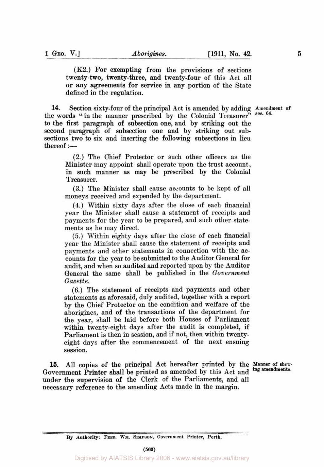**(K2.)** For exempting from the provisions of sections twenty-two, twenty-three, and twenty-four of this Act all or any agreements for service in any portion of the State defined in the regulation.

**14.** Section sixty-four of the principal Act is amended by adding Amendment of the words " in the manner prescribed by the Colonial Treasurer" to the first paragraph of subsection one, and by striking out the second paragraph of subsection one and by striking out subsections two to six and inserting the following subsections in lieu  $thereof :=$ 

(2.) The Chief Protector or such other officers as the Minister may appoint shall operate upon the trust account, in such manner as may be prescribed by the Colonial Treasurer.

(3.) The Minister shall cause accounts to be kept of all moneys received and expended by the department.

**(4.)** Within sixty days after the close of each financial year the Minister shall cause a statement of receipts and payments for the year to be prepared, and such other statements as he may direct.

(5.) Within eighty days after the close of each financial year the Minister shall cause the statement of receipts and payments and other statements in connection with the accounts for the year to be submitted to the Auditor General for audit, and when so audited and reported upon by the Auditor General the same shall be published in the *Government Gazet te.* 

*(6.)* The statement of receipts and payments and other statements as aforesaid, duly audited, together with a report by the Chief Protector on the condition and welfare of the aborigines, and of the transactions of the department for the year, shall be laid before both Houses of Parliament within twenty-eight days after the audit is completed, if Parliament is then in session, and if not, then within twentyeight days after the commencement of the next ensuing session.

15. All copies of the principal Act hereafter printed by the Manner of show-Government Printer shall be printed as amended by this Act and under the supervision of the Clerk of the Parliaments, and all necessary reference to the amending Acts made in the margin.

**64.** 

By Authority: FRED. WM. SIMPSON, Government Printer, Perth.